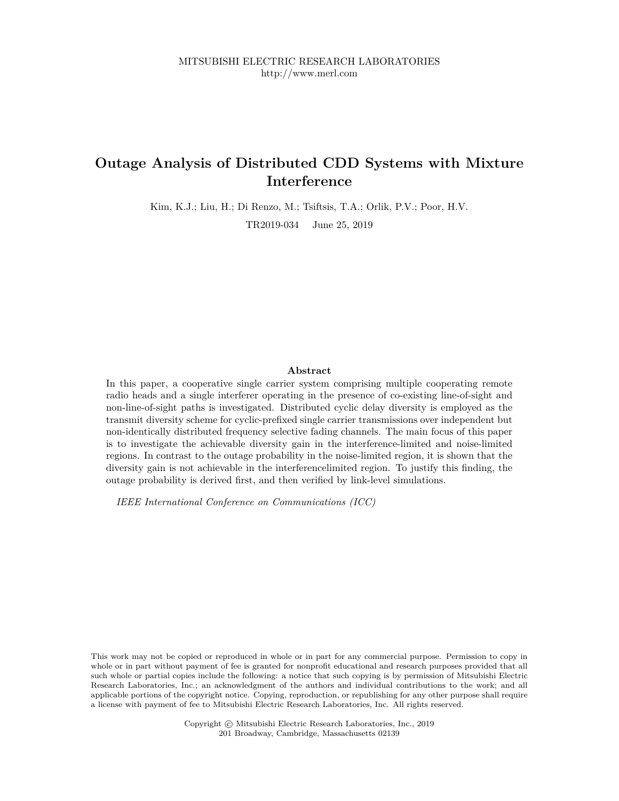# **Outage Analysis of Distributed CDD Systems with Mixture Interference**

Kim, K.J.; Liu, H.; Di Renzo, M.; Tsiftsis, T.A.; Orlik, P.V.; Poor, H.V.

TR2019-034 June 25, 2019

#### **Abstract**

In this paper, a cooperative single carrier system comprising multiple cooperating remote radio heads and a single interferer operating in the presence of co-existing line-of-sight and non-line-of-sight paths is investigated. Distributed cyclic delay diversity is employed as the transmit diversity scheme for cyclic-prefixed single carrier transmissions over independent but non-identically distributed frequency selective fading channels. The main focus of this paper is to investigate the achievable diversity gain in the interference-limited and noise-limited regions. In contrast to the outage probability in the noise-limited region, it is shown that the diversity gain is not achievable in the interferencelimited region. To justify this finding, the outage probability is derived first, and then verified by link-level simulations.

*IEEE International Conference on Communications (ICC)*

This work may not be copied or reproduced in whole or in part for any commercial purpose. Permission to copy in whole or in part without payment of fee is granted for nonprofit educational and research purposes provided that all such whole or partial copies include the following: a notice that such copying is by permission of Mitsubishi Electric Research Laboratories, Inc.; an acknowledgment of the authors and individual contributions to the work; and all applicable portions of the copyright notice. Copying, reproduction, or republishing for any other purpose shall require a license with payment of fee to Mitsubishi Electric Research Laboratories, Inc. All rights reserved.

> Copyright © Mitsubishi Electric Research Laboratories, Inc., 2019 201 Broadway, Cambridge, Massachusetts 02139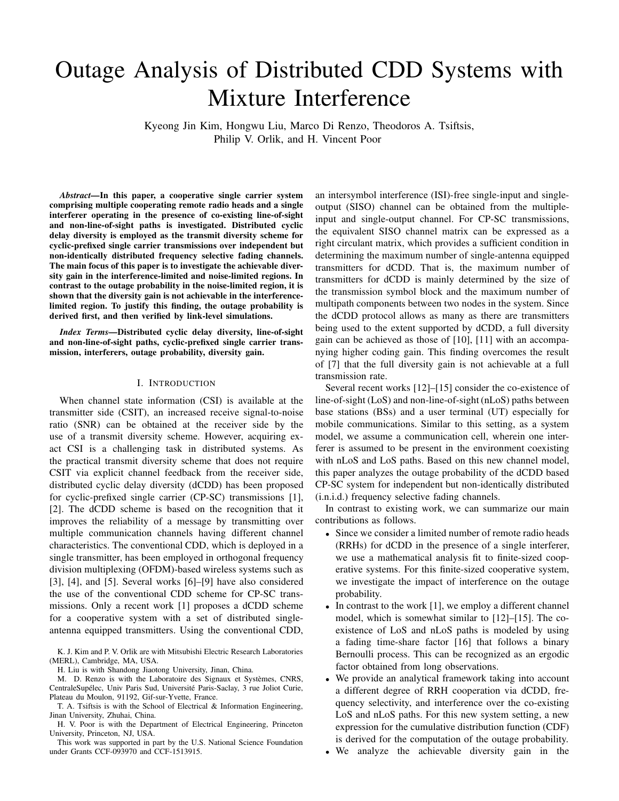# Outage Analysis of Distributed CDD Systems with Mixture Interference

Kyeong Jin Kim, Hongwu Liu, Marco Di Renzo, Theodoros A. Tsiftsis, Philip V. Orlik, and H. Vincent Poor

*Abstract***—In this paper, a cooperative single carrier system comprising multiple cooperating remote radio heads and a single interferer operating in the presence of co-existing line-of-sight and non-line-of-sight paths is investigated. Distributed cyclic delay diversity is employed as the transmit diversity scheme for cyclic-prefixed single carrier transmissions over independent but non-identically distributed frequency selective fading channels. The main focus of this paper is to investigate the achievable diversity gain in the interference-limited and noise-limited regions. In contrast to the outage probability in the noise-limited region, it is shown that the diversity gain is not achievable in the interferencelimited region. To justify this finding, the outage probability is derived first, and then verified by link-level simulations.**

*Index Terms***—Distributed cyclic delay diversity, line-of-sight and non-line-of-sight paths, cyclic-prefixed single carrier transmission, interferers, outage probability, diversity gain.**

#### I. INTRODUCTION

When channel state information (CSI) is available at the transmitter side (CSIT), an increased receive signal-to-noise ratio (SNR) can be obtained at the receiver side by the use of a transmit diversity scheme. However, acquiring exact CSI is a challenging task in distributed systems. As the practical transmit diversity scheme that does not require CSIT via explicit channel feedback from the receiver side, distributed cyclic delay diversity (dCDD) has been proposed for cyclic-prefixed single carrier (CP-SC) transmissions [1], [2]. The dCDD scheme is based on the recognition that it improves the reliability of a message by transmitting over multiple communication channels having different channel characteristics. The conventional CDD, which is deployed in a single transmitter, has been employed in orthogonal frequency division multiplexing (OFDM)-based wireless systems such as [3], [4], and [5]. Several works [6]–[9] have also considered the use of the conventional CDD scheme for CP-SC transmissions. Only a recent work [1] proposes a dCDD scheme for a cooperative system with a set of distributed singleantenna equipped transmitters. Using the conventional CDD,

K. J. Kim and P. V. Orlik are with Mitsubishi Electric Research Laboratories (MERL), Cambridge, MA, USA.

H. Liu is with Shandong Jiaotong University, Jinan, China.

M. D. Renzo is with the Laboratoire des Signaux et Systèmes, CNRS, CentraleSupélec, Univ Paris Sud, Université Paris-Saclay, 3 rue Joliot Curie, Plateau du Moulon, 91192, Gif-sur-Yvette, France.

T. A. Tsiftsis is with the School of Electrical & Information Engineering, Jinan University, Zhuhai, China.

H. V. Poor is with the Department of Electrical Engineering, Princeton University, Princeton, NJ, USA.

This work was supported in part by the U.S. National Science Foundation under Grants CCF-093970 and CCF-1513915.

an intersymbol interference (ISI)-free single-input and singleoutput (SISO) channel can be obtained from the multipleinput and single-output channel. For CP-SC transmissions, the equivalent SISO channel matrix can be expressed as a right circulant matrix, which provides a sufficient condition in determining the maximum number of single-antenna equipped transmitters for dCDD. That is, the maximum number of transmitters for dCDD is mainly determined by the size of the transmission symbol block and the maximum number of multipath components between two nodes in the system. Since the dCDD protocol allows as many as there are transmitters being used to the extent supported by dCDD, a full diversity gain can be achieved as those of [10], [11] with an accompanying higher coding gain. This finding overcomes the result of [7] that the full diversity gain is not achievable at a full transmission rate.

Several recent works [12]–[15] consider the co-existence of line-of-sight (LoS) and non-line-of-sight (nLoS) paths between base stations (BSs) and a user terminal (UT) especially for mobile communications. Similar to this setting, as a system model, we assume a communication cell, wherein one interferer is assumed to be present in the environment coexisting with nLoS and LoS paths. Based on this new channel model, this paper analyzes the outage probability of the dCDD based CP-SC system for independent but non-identically distributed (i.n.i.d.) frequency selective fading channels.

In contrast to existing work, we can summarize our main contributions as follows.

- Since we consider a limited number of remote radio heads (RRHs) for dCDD in the presence of a single interferer, we use a mathematical analysis fit to finite-sized cooperative systems. For this finite-sized cooperative system, we investigate the impact of interference on the outage probability.
- In contrast to the work [1], we employ a different channel model, which is somewhat similar to [12]–[15]. The coexistence of LoS and nLoS paths is modeled by using a fading time-share factor [16] that follows a binary Bernoulli process. This can be recognized as an ergodic factor obtained from long observations.
- We provide an analytical framework taking into account a different degree of RRH cooperation via dCDD, frequency selectivity, and interference over the co-existing LoS and nLoS paths. For this new system setting, a new expression for the cumulative distribution function (CDF) is derived for the computation of the outage probability.
- We analyze the achievable diversity gain in the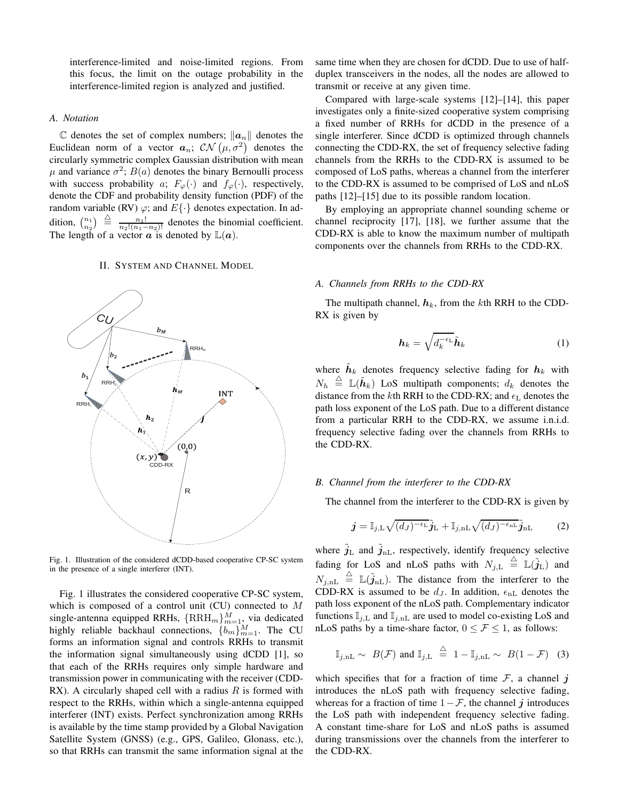interference-limited and noise-limited regions. From this focus, the limit on the outage probability in the interference-limited region is analyzed and justified.

# *A. Notation*

 $\mathbb C$  denotes the set of complex numbers;  $\|\boldsymbol{a}_n\|$  denotes the Euclidean norm of a vector  $a_n$ ;  $\mathcal{CN}(\mu, \sigma^2)$  denotes the circularly symmetric complex Gaussian distribution with mean  $\mu$  and variance  $\sigma^2$ ;  $B(a)$  denotes the binary Bernoulli process with success probability a;  $F_{\varphi}(\cdot)$  and  $f_{\varphi}(\cdot)$ , respectively, denote the CDF and probability density function (PDF) of the random variable (RV)  $\varphi$ ; and  $E\{\cdot\}$  denotes expectation. In addition,  $\binom{n_1}{n_2} \triangleq \frac{n_1!}{n_2!(n_1-n_2)!}$  denotes the binomial coefficient. The length of a vector  $\alpha$  is denoted by  $\mathbb{L}(\alpha)$ .

# II. SYSTEM AND CHANNEL MODEL



Fig. 1. Illustration of the considered dCDD-based cooperative CP-SC system in the presence of a single interferer (INT).

Fig. 1 illustrates the considered cooperative CP-SC system, which is composed of a control unit (CU) connected to  $M$ single-antenna equipped RRHs,  $\{RRH_m\}_{m=1}^M$ , via dedicated highly reliable backhaul connections,  $\{b_m\}_{m=1}^M$ . The CU forms an information signal and controls RRHs to transmit the information signal simultaneously using dCDD [1], so that each of the RRHs requires only simple hardware and transmission power in communicating with the receiver (CDD-RX). A circularly shaped cell with a radius  $R$  is formed with respect to the RRHs, within which a single-antenna equipped interferer (INT) exists. Perfect synchronization among RRHs is available by the time stamp provided by a Global Navigation Satellite System (GNSS) (e.g., GPS, Galileo, Glonass, etc.), so that RRHs can transmit the same information signal at the same time when they are chosen for dCDD. Due to use of halfduplex transceivers in the nodes, all the nodes are allowed to transmit or receive at any given time.

Compared with large-scale systems [12]–[14], this paper investigates only a finite-sized cooperative system comprising a fixed number of RRHs for dCDD in the presence of a single interferer. Since dCDD is optimized through channels connecting the CDD-RX, the set of frequency selective fading channels from the RRHs to the CDD-RX is assumed to be composed of LoS paths, whereas a channel from the interferer to the CDD-RX is assumed to be comprised of LoS and nLoS paths [12]–[15] due to its possible random location.

By employing an appropriate channel sounding scheme or channel reciprocity [17], [18], we further assume that the CDD-RX is able to know the maximum number of multipath components over the channels from RRHs to the CDD-RX.

#### *A. Channels from RRHs to the CDD-RX*

The multipath channel,  $h_k$ , from the kth RRH to the CDD-RX is given by

$$
\boldsymbol{h}_k = \sqrt{d_k^{-\epsilon_{\rm L}}} \tilde{\boldsymbol{h}}_k \tag{1}
$$

where  $\tilde{\boldsymbol{h}}_k$  denotes frequency selective fading for  $\boldsymbol{h}_k$  with  $N_h \triangleq \mathbb{L}(\tilde{\boldsymbol{h}}_k)$  LoS multipath components;  $d_k$  denotes the distance from the kth RRH to the CDD-RX; and  $\epsilon_L$  denotes the path loss exponent of the LoS path. Due to a different distance from a particular RRH to the CDD-RX, we assume i.n.i.d. frequency selective fading over the channels from RRHs to the CDD-RX.

#### *B. Channel from the interferer to the CDD-RX*

The channel from the interferer to the CDD-RX is given by

$$
\boldsymbol{j} = \mathbb{I}_{j,\mathrm{L}}\sqrt{(d_J)^{-\epsilon_{\mathrm{L}}}}\tilde{\boldsymbol{j}}_{\mathrm{L}} + \mathbb{I}_{j,\mathrm{nL}}\sqrt{(d_J)^{-\epsilon_{\mathrm{nL}}}}\tilde{\boldsymbol{j}}_{\mathrm{nL}} \tag{2}
$$

where  $\tilde{j}_L$  and  $\tilde{j}_{nL}$ , respectively, identify frequency selective fading for LoS and nLoS paths with  $N_{j,\rm L}\ \stackrel{\triangle}{=}\ {\mathbb L}(\tilde{j}_{\rm L})$  and  $N_{j,\text{nL}} \triangleq \mathbb{L}(\tilde{j}_{\text{nL}})$ . The distance from the interferer to the CDD-RX is assumed to be  $d_J$ . In addition,  $\epsilon_{nL}$  denotes the path loss exponent of the nLoS path. Complementary indicator functions  $\mathbb{I}_{j,L}$  and  $\mathbb{I}_{j,nL}$  are used to model co-existing LoS and nLoS paths by a time-share factor,  $0 \leq \mathcal{F} \leq 1$ , as follows:

$$
\mathbb{I}_{j,nL} \sim B(\mathcal{F}) \text{ and } \mathbb{I}_{j,L} \stackrel{\triangle}{=} 1 - \mathbb{I}_{j,nL} \sim B(1 - \mathcal{F}) \quad (3)
$$

which specifies that for a fraction of time  $\mathcal{F}$ , a channel j introduces the nLoS path with frequency selective fading, whereas for a fraction of time  $1 - \mathcal{F}$ , the channel j introduces the LoS path with independent frequency selective fading. A constant time-share for LoS and nLoS paths is assumed during transmissions over the channels from the interferer to the CDD-RX.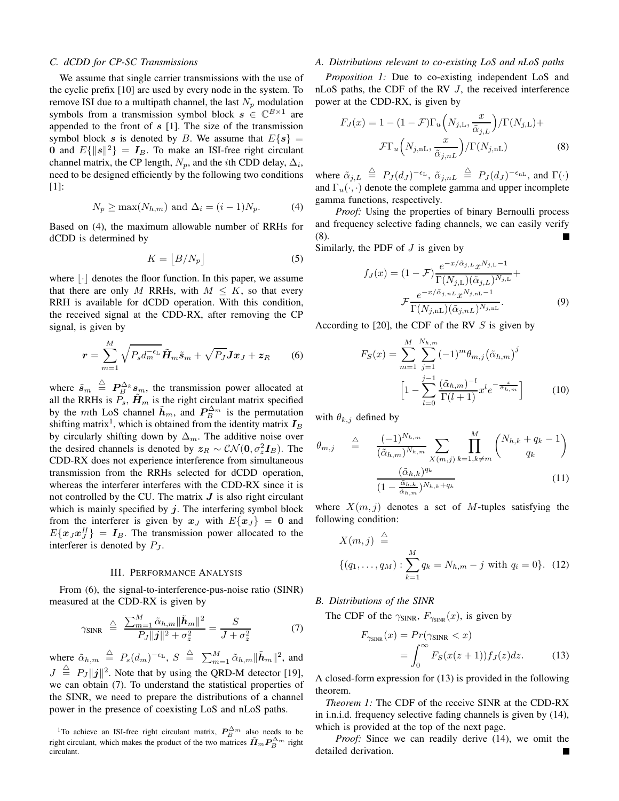## *C. dCDD for CP-SC Transmissions*

We assume that single carrier transmissions with the use of the cyclic prefix [10] are used by every node in the system. To remove ISI due to a multipath channel, the last  $N_p$  modulation symbols from a transmission symbol block  $s \in \mathbb{C}^{B \times 1}$  are appended to the front of  $s$  [1]. The size of the transmission symbol block s is denoted by B. We assume that  $E\{s\} =$ 0 and  $E\{\|\mathbf{s}\|^2\} = \mathbf{I}_B$ . To make an ISI-free right circulant channel matrix, the CP length,  $N_p$ , and the *i*th CDD delay,  $\Delta_i$ , need to be designed efficiently by the following two conditions [1]:

$$
N_p \ge \max(N_{h,m}) \text{ and } \Delta_i = (i-1)N_p. \tag{4}
$$

Based on (4), the maximum allowable number of RRHs for dCDD is determined by

$$
K = |B/N_p| \tag{5}
$$

where  $|\cdot|$  denotes the floor function. In this paper, we assume that there are only M RRHs, with  $M \leq K$ , so that every RRH is available for dCDD operation. With this condition, the received signal at the CDD-RX, after removing the CP signal, is given by

$$
\boldsymbol{r} = \sum_{m=1}^{M} \sqrt{P_s d_m^{-\epsilon_{\rm L}}} \tilde{\boldsymbol{H}}_m \tilde{\boldsymbol{s}}_m + \sqrt{P_J} \boldsymbol{J} \boldsymbol{x}_J + \boldsymbol{z}_R \qquad (6)
$$

where  $\tilde{s}_m \triangleq P_B^{\Delta_k} s_m$ , the transmission power allocated at all the RRHs is  $\overline{P}_s$ ,  $\overline{H}_m$  is the right circulant matrix specified by the mth LoS channel  $\tilde{h}_m$ , and  $P_B^{\Delta_m}$  is the permutation shifting matrix<sup>1</sup>, which is obtained from the identity matrix  $I_B$ by circularly shifting down by  $\Delta_m$ . The additive noise over the desired channels is denoted by  $z_R \sim \mathcal{CN}(\mathbf{0}, \sigma_z^2 \mathbf{I}_B)$ . The CDD-RX does not experience interference from simultaneous transmission from the RRHs selected for dCDD operation, whereas the interferer interferes with the CDD-RX since it is not controlled by the CU. The matrix  $J$  is also right circulant which is mainly specified by  $j$ . The interfering symbol block from the interferer is given by  $x_J$  with  $E\{x_J\} = 0$  and  $E\{\mathbf{x}_J\mathbf{x}_J^H\} = \mathbf{I}_B$ . The transmission power allocated to the interferer is denoted by  $P_J$ .

#### III. PERFORMANCE ANALYSIS

From (6), the signal-to-interference-pus-noise ratio (SINR) measured at the CDD-RX is given by

$$
\gamma_{\text{SINR}} \triangleq \frac{\sum_{m=1}^{M} \tilde{\alpha}_{h,m} ||\tilde{\boldsymbol{h}}_m||^2}{P_J ||\boldsymbol{j}||^2 + \sigma_z^2} = \frac{S}{J + \sigma_z^2}
$$
(7)

where  $\tilde{\alpha}_{h,m} \stackrel{\triangle}{=} P_s(d_m)^{-\epsilon_L}$ ,  $S \stackrel{\triangle}{=} \sum_{m=1}^M \tilde{\alpha}_{h,m} ||\tilde{h}_m||^2$ , and  $J \triangleq P_J ||j||^2$ . Note that by using the QRD-M detector [19], we can obtain (7). To understand the statistical properties of the SINR, we need to prepare the distributions of a channel power in the presence of coexisting LoS and nLoS paths.

#### *A. Distributions relevant to co-existing LoS and nLoS paths*

*Proposition 1:* Due to co-existing independent LoS and nLoS paths, the CDF of the RV J, the received interference power at the CDD-RX, is given by

$$
F_J(x) = 1 - (1 - \mathcal{F})\Gamma_u\left(N_{j,\mathrm{L}}, \frac{x}{\tilde{\alpha}_{j,\mathrm{L}}}\right) / \Gamma(N_{j,\mathrm{L}}) +
$$

$$
\mathcal{F}\Gamma_u\left(N_{j,\mathrm{nL}}, \frac{x}{\tilde{\alpha}_{j,n\mathrm{L}}}\right) / \Gamma(N_{j,\mathrm{nL}}) \tag{8}
$$

where  $\tilde{\alpha}_{j,L} \stackrel{\triangle}{=} P_J(d_J)^{-\epsilon_L}$ ,  $\tilde{\alpha}_{j,nL} \stackrel{\triangle}{=} P_J(d_J)^{-\epsilon_{nL}}$ , and  $\Gamma(\cdot)$ and  $\Gamma_u(\cdot, \cdot)$  denote the complete gamma and upper incomplete gamma functions, respectively.

*Proof:* Using the properties of binary Bernoulli process and frequency selective fading channels, we can easily verify (8).

Similarly, the PDF of  $J$  is given by

$$
f_J(x) = (1 - \mathcal{F}) \frac{e^{-x/\tilde{\alpha}_{j,L}} x^{N_{j,L} - 1}}{\Gamma(N_{j,L})(\tilde{\alpha}_{j,L})^{N_{j,L}}} + \frac{e^{-x/\tilde{\alpha}_{j,nL}} x^{N_{j,nL} - 1}}{\Gamma(N_{j,nL})(\tilde{\alpha}_{j,nL})^{N_{j,nL}}}.
$$
\n(9)

According to [20], the CDF of the RV  $S$  is given by

$$
F_S(x) = \sum_{m=1}^{M} \sum_{j=1}^{N_{h,m}} (-1)^m \theta_{m,j} (\tilde{\alpha}_{h,m})^j
$$

$$
\left[1 - \sum_{l=0}^{j-1} \frac{(\tilde{\alpha}_{h,m})^{-l}}{\Gamma(l+1)} x^l e^{-\frac{x}{\tilde{\alpha}_{h,m}}}\right]
$$
(10)

with  $\theta_{k,j}$  defined by

$$
\theta_{m,j} \triangleq \frac{(-1)^{N_{h,m}}}{(\tilde{\alpha}_{h,m})^{N_{h,m}}} \sum_{X(m,j)} \prod_{k=1, k \neq m}^{M} {N_{h,k} + q_k - 1 \choose q_k}
$$

$$
\frac{(\tilde{\alpha}_{h,k})^{q_k}}{(1 - \frac{\tilde{\alpha}_{h,k}}{\tilde{\alpha}_{h,m}})^{N_{h,k} + q_k}}
$$
(11)

where  $X(m, j)$  denotes a set of M-tuples satisfying the following condition:

$$
X(m, j) \stackrel{\triangle}{=} \{ (q_1, \dots, q_M) : \sum_{k=1}^{M} q_k = N_{h,m} - j \text{ with } q_i = 0 \}. \tag{12}
$$

*B. Distributions of the SINR*

The CDF of the  $\gamma_{\text{SINR}}, F_{\gamma_{\text{SINR}}}(x)$ , is given by

$$
F_{\gamma_{\text{SINR}}}(x) = Pr(\gamma_{\text{SINR}} < x)
$$
  
= 
$$
\int_0^\infty F_S(x(z+1))f_J(z)dz.
$$
 (13)

A closed-form expression for (13) is provided in the following theorem.

*Theorem 1:* The CDF of the receive SINR at the CDD-RX in i.n.i.d. frequency selective fading channels is given by (14), which is provided at the top of the next page.

*Proof:* Since we can readily derive (14), we omit the detailed derivation.

<sup>&</sup>lt;sup>1</sup>To achieve an ISI-free right circulant matrix,  $P_B^{\Delta_m}$  also needs to be right circulant, which makes the product of the two matrices  $\tilde{H}_m P_B^{\Delta_m}$  right circulant.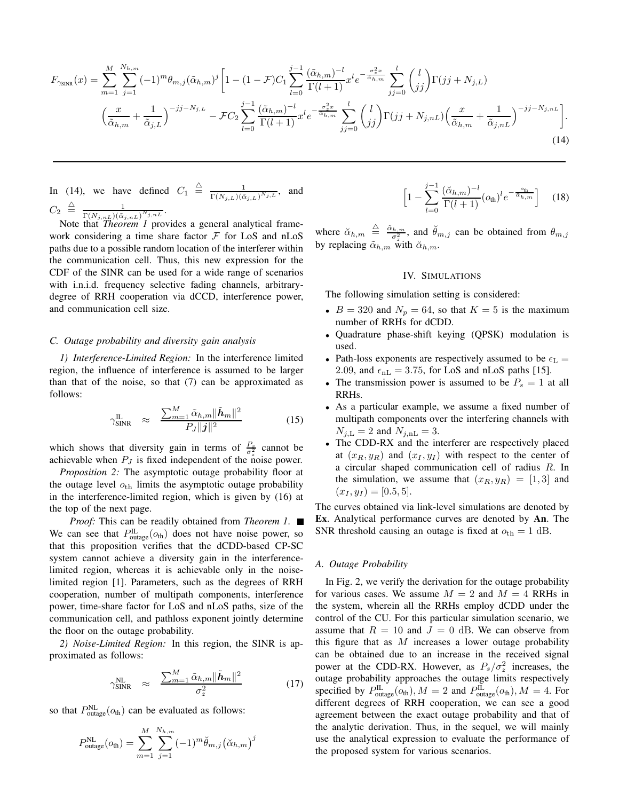$$
F_{\gamma_{\text{SINR}}}(x) = \sum_{m=1}^{M} \sum_{j=1}^{N_{h,m}} (-1)^{m} \theta_{m,j} (\tilde{\alpha}_{h,m})^{j} \left[ 1 - (1 - \mathcal{F}) C_{1} \sum_{l=0}^{j-1} \frac{(\tilde{\alpha}_{h,m})^{-l}}{\Gamma(l+1)} x^{l} e^{-\frac{\sigma_{z}^{2} x}{\tilde{\alpha}_{h,m}}} \sum_{jj=0}^{l} {l \choose jj} \Gamma(jj+N_{j,L}) \left( \frac{x}{\tilde{\alpha}_{h,m}} + \frac{1}{\tilde{\alpha}_{j,L}} \right)^{-jj-N_{j,L}} - \mathcal{F} C_{2} \sum_{l=0}^{j-1} \frac{(\tilde{\alpha}_{h,m})^{-l}}{\Gamma(l+1)} x^{l} e^{-\frac{\sigma_{z}^{2} x}{\tilde{\alpha}_{h,m}}} \sum_{jj=0}^{l} {l \choose jj} \Gamma(jj+N_{j,nL}) \left( \frac{x}{\tilde{\alpha}_{h,m}} + \frac{1}{\tilde{\alpha}_{j,nL}} \right)^{-jj-N_{j,nL}} \right].
$$
\n(14)

In (14), we have defined  $C_1 \triangleq \frac{1}{\Gamma(N+1)/\delta}$  $\frac{1}{\Gamma(N_{j,L})(\tilde{\alpha}_{j,L})^{N_{j,L}}},$  and  $C_2 \triangleq \frac{1}{\Gamma(N-1)\tilde{\alpha}}$  $\frac{1}{\Gamma(N_{j,nL})(\tilde{\alpha}_{j,nL})^{N_{j,nL}}}.$ 

Note that *Theorem 1* provides a general analytical framework considering a time share factor  $\mathcal F$  for LoS and nLoS paths due to a possible random location of the interferer within the communication cell. Thus, this new expression for the CDF of the SINR can be used for a wide range of scenarios with i.n.i.d. frequency selective fading channels, arbitrarydegree of RRH cooperation via dCCD, interference power, and communication cell size.

#### *C. Outage probability and diversity gain analysis*

*1) Interference-Limited Region:* In the interference limited region, the influence of interference is assumed to be larger than that of the noise, so that (7) can be approximated as follows:

$$
\gamma_{\text{SINR}}^{\text{IL}} \approx \frac{\sum_{m=1}^{M} \tilde{\alpha}_{h,m} \|\tilde{\boldsymbol{h}}_{m}\|^{2}}{P_{J} \|\boldsymbol{j}\|^{2}} \tag{15}
$$

which shows that diversity gain in terms of  $\frac{P_s}{\sigma_z^2}$  cannot be achievable when  $P_J$  is fixed independent of the noise power.

*Proposition 2:* The asymptotic outage probability floor at the outage level  $o<sub>th</sub>$  limits the asymptotic outage probability in the interference-limited region, which is given by (16) at the top of the next page.

*Proof:* This can be readily obtained from *Theorem 1*. ■ We can see that  $P_{\text{outage}}^{\text{IL}}(o_{\text{th}})$  does not have noise power, so that this proposition verifies that the dCDD-based CP-SC system cannot achieve a diversity gain in the interferencelimited region, whereas it is achievable only in the noiselimited region [1]. Parameters, such as the degrees of RRH cooperation, number of multipath components, interference power, time-share factor for LoS and nLoS paths, size of the communication cell, and pathloss exponent jointly determine the floor on the outage probability.

*2) Noise-Limited Region:* In this region, the SINR is approximated as follows:

$$
\gamma_{\text{SINR}}^{\text{NL}} \approx \frac{\sum_{m=1}^{M} \tilde{\alpha}_{h,m} \|\tilde{\boldsymbol{h}}_{m}\|^2}{\sigma_z^2} \tag{17}
$$

so that  $P_{\text{outage}}^{\text{NL}}(o_{\text{th}})$  can be evaluated as follows:

$$
P_{\text{outage}}^{\text{NL}}(o_{\text{th}}) = \sum_{m=1}^{M} \sum_{j=1}^{N_{h,m}} (-1)^m \breve{\theta}_{m,j} (\breve{\alpha}_{h,m})^j
$$

$$
\left[1 - \sum_{l=0}^{j-1} \frac{(\check{\alpha}_{h,m})^{-l}}{\Gamma(l+1)} (o_{\text{th}})^l e^{-\frac{o_{\text{th}}}{\check{\alpha}_{h,m}}}\right] \quad (18)
$$

where  $\alpha_{h,m} \triangleq \frac{\tilde{\alpha}_{h,m}}{\sigma_z^2}$ , and  $\tilde{\theta}_{m,j}$  can be obtained from  $\theta_{m,j}$ by replacing  $\tilde{\alpha}_{h,m}$  with  $\tilde{\alpha}_{h,m}$ .

## IV. SIMULATIONS

The following simulation setting is considered:

- $B = 320$  and  $N_p = 64$ , so that  $K = 5$  is the maximum number of RRHs for dCDD.
- Quadrature phase-shift keying (QPSK) modulation is used.
- Path-loss exponents are respectively assumed to be  $\epsilon_{\rm L}$  = 2.09, and  $\epsilon_{\text{nL}} = 3.75$ , for LoS and nLoS paths [15].
- The transmission power is assumed to be  $P_s = 1$  at all RRHs.
- As a particular example, we assume a fixed number of multipath components over the interfering channels with  $N_{j,L} = 2$  and  $N_{j,nL} = 3$ .
- The CDD-RX and the interferer are respectively placed at  $(x_R, y_R)$  and  $(x_I, y_I)$  with respect to the center of a circular shaped communication cell of radius R. In the simulation, we assume that  $(x_R, y_R) = [1, 3]$  and  $(x_I, y_I) = [0.5, 5].$

The curves obtained via link-level simulations are denoted by **Ex**. Analytical performance curves are denoted by **An**. The SNR threshold causing an outage is fixed at  $o_{th} = 1$  dB.

#### *A. Outage Probability*

In Fig. 2, we verify the derivation for the outage probability for various cases. We assume  $M = 2$  and  $M = 4$  RRHs in the system, wherein all the RRHs employ dCDD under the control of the CU. For this particular simulation scenario, we assume that  $R = 10$  and  $J = 0$  dB. We can observe from this figure that as  $M$  increases a lower outage probability can be obtained due to an increase in the received signal power at the CDD-RX. However, as  $P_s/\sigma_z^2$  increases, the outage probability approaches the outage limits respectively specified by  $P_{\text{outage}}^{\text{IL}}(o_{\text{th}}), M = 2$  and  $P_{\text{outage}}^{\text{IL}}(o_{\text{th}}), M = 4$ . For different degrees of RRH cooperation, we can see a good agreement between the exact outage probability and that of the analytic derivation. Thus, in the sequel, we will mainly use the analytical expression to evaluate the performance of the proposed system for various scenarios.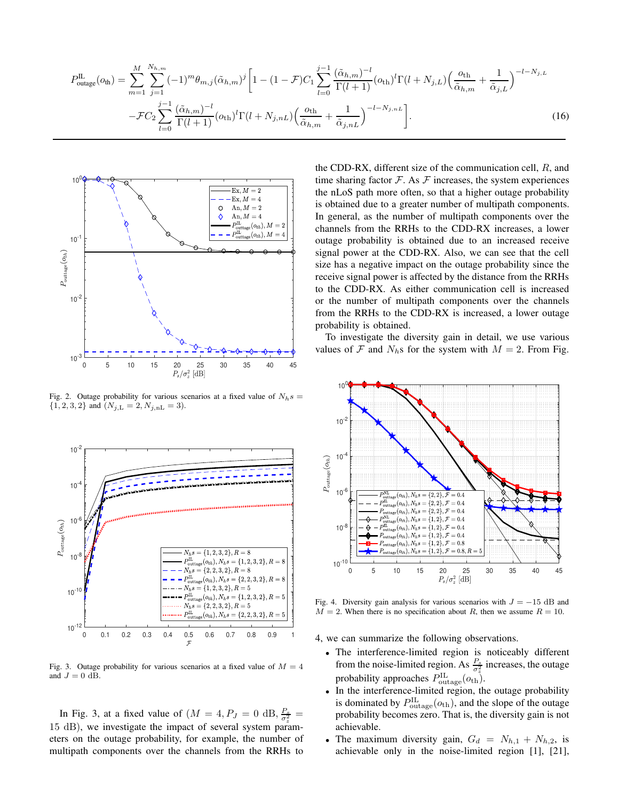$$
P_{\text{outage}}^{\text{IL}}(o_{\text{th}}) = \sum_{m=1}^{M} \sum_{j=1}^{N_{h,m}} (-1)^{m} \theta_{m,j} (\tilde{\alpha}_{h,m})^{j} \left[ 1 - (1 - \mathcal{F}) C_{1} \sum_{l=0}^{j-1} \frac{(\tilde{\alpha}_{h,m})^{-l}}{\Gamma(l+1)} (o_{\text{th}})^{l} \Gamma(l+N_{j,L}) \left( \frac{o_{\text{th}}}{\tilde{\alpha}_{h,m}} + \frac{1}{\tilde{\alpha}_{j,L}} \right)^{-l-N_{j,L}}
$$

$$
- \mathcal{F} C_{2} \sum_{l=0}^{j-1} \frac{(\tilde{\alpha}_{h,m})^{-l}}{\Gamma(l+1)} (o_{\text{th}})^{l} \Gamma(l+N_{j,nL}) \left( \frac{o_{\text{th}}}{\tilde{\alpha}_{h,m}} + \frac{1}{\tilde{\alpha}_{j,nL}} \right)^{-l-N_{j,nL}} \right].
$$
(16)



Fig. 2. Outage probability for various scenarios at a fixed value of  $N_h s =$  $\{1, 2, 3, 2\}$  and  $(N_{j,\text{L}} = 2, N_{j,\text{nL}} = 3)$ .



Fig. 3. Outage probability for various scenarios at a fixed value of  $M = 4$ and  $J = 0$  dB.

In Fig. 3, at a fixed value of  $(M = 4, P_J = 0 \text{ dB}, \frac{P_s}{\sigma_z^2})$ 15 dB), we investigate the impact of several system parameters on the outage probability, for example, the number of multipath components over the channels from the RRHs to the CDD-RX, different size of the communication cell, R, and time sharing factor  $\mathcal F$ . As  $\mathcal F$  increases, the system experiences the nLoS path more often, so that a higher outage probability is obtained due to a greater number of multipath components. In general, as the number of multipath components over the channels from the RRHs to the CDD-RX increases, a lower outage probability is obtained due to an increased receive signal power at the CDD-RX. Also, we can see that the cell size has a negative impact on the outage probability since the receive signal power is affected by the distance from the RRHs to the CDD-RX. As either communication cell is increased or the number of multipath components over the channels from the RRHs to the CDD-RX is increased, a lower outage probability is obtained.

To investigate the diversity gain in detail, we use various values of  $\mathcal F$  and  $N_h$ s for the system with  $M = 2$ . From Fig.



Fig. 4. Diversity gain analysis for various scenarios with  $J = -15$  dB and  $M = 2$ . When there is no specification about R, then we assume  $R = 10$ .

4, we can summarize the following observations.

- The interference-limited region is noticeably different from the noise-limited region. As  $\frac{P_s}{\sigma_z^2}$  increases, the outage probability approaches  $P_{\text{outage}}^{\text{IL}}(o_{\text{th}})$ .
- In the interference-limited region, the outage probability is dominated by  $P_{\text{outage}}^{\text{IL}}(o_{\text{th}})$ , and the slope of the outage probability becomes zero. That is, the diversity gain is not achievable.
- The maximum diversity gain,  $G_d = N_{h,1} + N_{h,2}$ , is achievable only in the noise-limited region [1], [21],